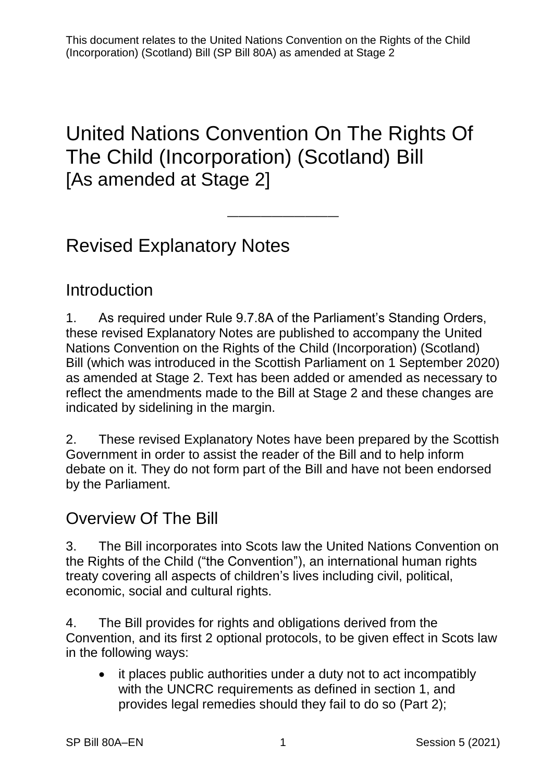# United Nations Convention On The Rights Of The Child (Incorporation) (Scotland) Bill [As amended at Stage 2]

——————————

# Revised Explanatory Notes

### **Introduction**

1. As required under Rule 9.7.8A of the Parliament's Standing Orders, these revised Explanatory Notes are published to accompany the United Nations Convention on the Rights of the Child (Incorporation) (Scotland) Bill (which was introduced in the Scottish Parliament on 1 September 2020) as amended at Stage 2. Text has been added or amended as necessary to reflect the amendments made to the Bill at Stage 2 and these changes are indicated by sidelining in the margin.

2. These revised Explanatory Notes have been prepared by the Scottish Government in order to assist the reader of the Bill and to help inform debate on it. They do not form part of the Bill and have not been endorsed by the Parliament.

### Overview Of The Bill

3. The Bill incorporates into Scots law the United Nations Convention on the Rights of the Child ("the Convention"), an international human rights treaty covering all aspects of children's lives including civil, political, economic, social and cultural rights.

4. The Bill provides for rights and obligations derived from the Convention, and its first 2 optional protocols, to be given effect in Scots law in the following ways:

• it places public authorities under a duty not to act incompatibly with the UNCRC requirements as defined in section 1, and provides legal remedies should they fail to do so (Part 2);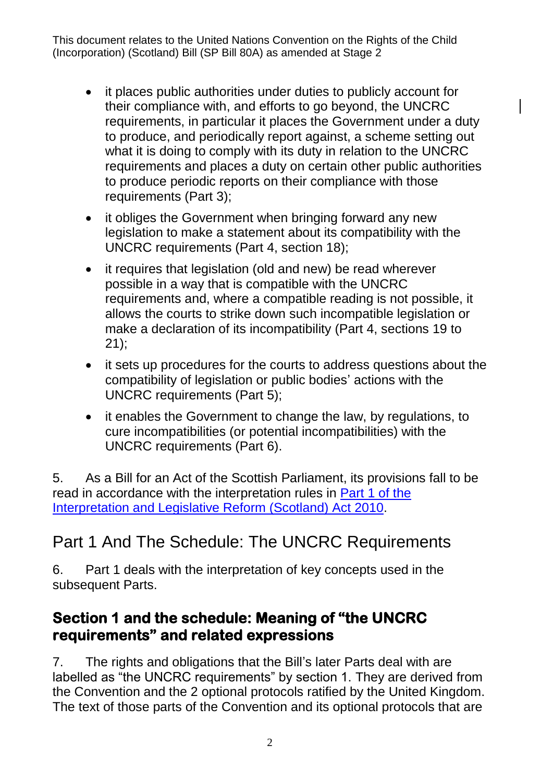- it places public authorities under duties to publicly account for their compliance with, and efforts to go beyond, the UNCRC requirements, in particular it places the Government under a duty to produce, and periodically report against, a scheme setting out what it is doing to comply with its duty in relation to the UNCRC requirements and places a duty on certain other public authorities to produce periodic reports on their compliance with those requirements (Part 3);
- it obliges the Government when bringing forward any new legislation to make a statement about its compatibility with the UNCRC requirements (Part 4, section 18);
- it requires that legislation (old and new) be read wherever possible in a way that is compatible with the UNCRC requirements and, where a compatible reading is not possible, it allows the courts to strike down such incompatible legislation or make a declaration of its incompatibility (Part 4, sections 19 to 21);
- it sets up procedures for the courts to address questions about the compatibility of legislation or public bodies' actions with the UNCRC requirements (Part 5);
- it enables the Government to change the law, by regulations, to cure incompatibilities (or potential incompatibilities) with the UNCRC requirements (Part 6).

5. As a Bill for an Act of the Scottish Parliament, its provisions fall to be read in accordance with the interpretation rules in [Part 1 of the](https://www.legislation.gov.uk/asp/2010/10/part/1)  [Interpretation and Legislative Reform \(Scotland\) Act 2010.](https://www.legislation.gov.uk/asp/2010/10/part/1)

## Part 1 And The Schedule: The UNCRC Requirements

6. Part 1 deals with the interpretation of key concepts used in the subsequent Parts.

#### **Section 1 and the schedule: Meaning of "the UNCRC requirements" and related expressions**

<span id="page-1-0"></span>7. The rights and obligations that the Bill's later Parts deal with are labelled as "the UNCRC requirements" by section 1. They are derived from the Convention and the 2 optional protocols ratified by the United Kingdom. The text of those parts of the Convention and its optional protocols that are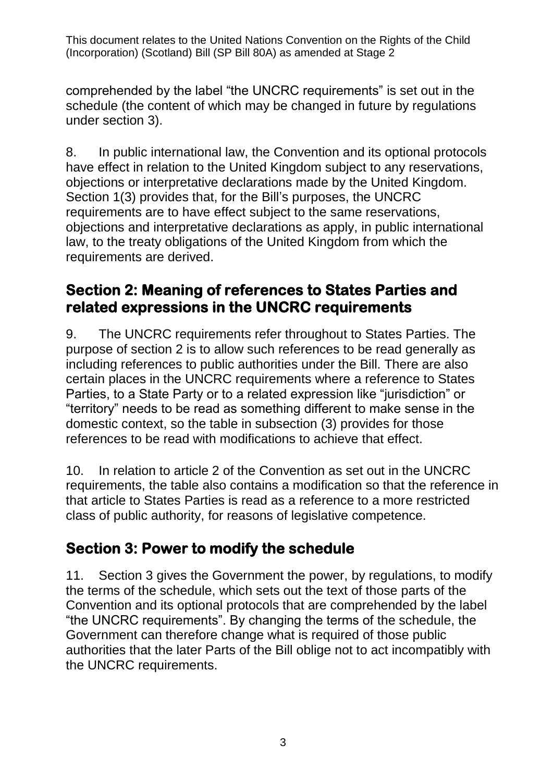comprehended by the label "the UNCRC requirements" is set out in the schedule (the content of which may be changed in future by regulations under section 3).

8. In public international law, the Convention and its optional protocols have effect in relation to the United Kingdom subject to any reservations, objections or interpretative declarations made by the United Kingdom. Section 1(3) provides that, for the Bill's purposes, the UNCRC requirements are to have effect subject to the same reservations, objections and interpretative declarations as apply, in public international law, to the treaty obligations of the United Kingdom from which the requirements are derived.

### **Section 2: Meaning of references to States Parties and related expressions in the UNCRC requirements**

9. The UNCRC requirements refer throughout to States Parties. The purpose of section 2 is to allow such references to be read generally as including references to public authorities under the Bill. There are also certain places in the UNCRC requirements where a reference to States Parties, to a State Party or to a related expression like "jurisdiction" or "territory" needs to be read as something different to make sense in the domestic context, so the table in subsection (3) provides for those references to be read with modifications to achieve that effect.

10. In relation to article 2 of the Convention as set out in the UNCRC requirements, the table also contains a modification so that the reference in that article to States Parties is read as a reference to a more restricted class of public authority, for reasons of legislative competence.

### **Section 3: Power to modify the schedule**

11. Section 3 gives the Government the power, by regulations, to modify the terms of the schedule, which sets out the text of those parts of the Convention and its optional protocols that are comprehended by the label "the UNCRC requirements". By changing the terms of the schedule, the Government can therefore change what is required of those public authorities that the later Parts of the Bill oblige not to act incompatibly with the UNCRC requirements.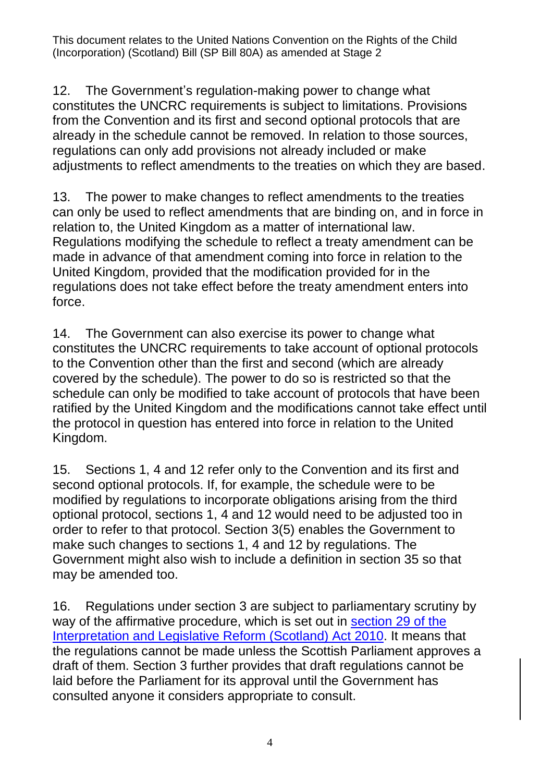12. The Government's regulation-making power to change what constitutes the UNCRC requirements is subject to limitations. Provisions from the Convention and its first and second optional protocols that are already in the schedule cannot be removed. In relation to those sources, regulations can only add provisions not already included or make adjustments to reflect amendments to the treaties on which they are based.

13. The power to make changes to reflect amendments to the treaties can only be used to reflect amendments that are binding on, and in force in relation to, the United Kingdom as a matter of international law. Regulations modifying the schedule to reflect a treaty amendment can be made in advance of that amendment coming into force in relation to the United Kingdom, provided that the modification provided for in the regulations does not take effect before the treaty amendment enters into force.

14. The Government can also exercise its power to change what constitutes the UNCRC requirements to take account of optional protocols to the Convention other than the first and second (which are already covered by the schedule). The power to do so is restricted so that the schedule can only be modified to take account of protocols that have been ratified by the United Kingdom and the modifications cannot take effect until the protocol in question has entered into force in relation to the United Kingdom.

15. Sections 1, 4 and 12 refer only to the Convention and its first and second optional protocols. If, for example, the schedule were to be modified by regulations to incorporate obligations arising from the third optional protocol, sections 1, 4 and 12 would need to be adjusted too in order to refer to that protocol. Section 3(5) enables the Government to make such changes to sections 1, 4 and 12 by regulations. The Government might also wish to include a definition in section 35 so that may be amended too.

16. Regulations under section 3 are subject to parliamentary scrutiny by way of the affirmative procedure, which is set out in section 29 of the [Interpretation and Legislative Reform \(Scotland\) Act 2010.](https://www.legislation.gov.uk/asp/2010/10/section/29) It means that the regulations cannot be made unless the Scottish Parliament approves a draft of them. Section 3 further provides that draft regulations cannot be laid before the Parliament for its approval until the Government has consulted anyone it considers appropriate to consult.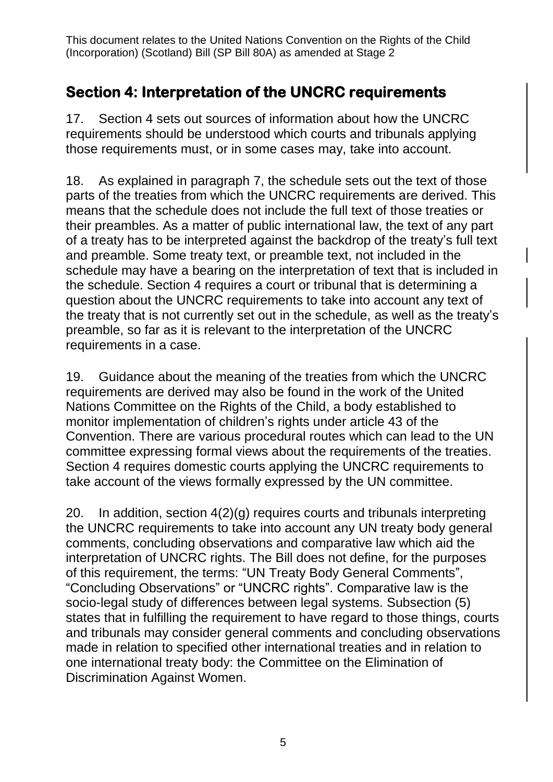### **Section 4: Interpretation of the UNCRC requirements**

17. Section 4 sets out sources of information about how the UNCRC requirements should be understood which courts and tribunals applying those requirements must, or in some cases may, take into account.

18. As explained in paragraph [7,](#page-1-0) the schedule sets out the text of those parts of the treaties from which the UNCRC requirements are derived. This means that the schedule does not include the full text of those treaties or their preambles. As a matter of public international law, the text of any part of a treaty has to be interpreted against the backdrop of the treaty's full text and preamble. Some treaty text, or preamble text, not included in the schedule may have a bearing on the interpretation of text that is included in the schedule. Section 4 requires a court or tribunal that is determining a question about the UNCRC requirements to take into account any text of the treaty that is not currently set out in the schedule, as well as the treaty's preamble, so far as it is relevant to the interpretation of the UNCRC requirements in a case.

19. Guidance about the meaning of the treaties from which the UNCRC requirements are derived may also be found in the work of the United Nations Committee on the Rights of the Child, a body established to monitor implementation of children's rights under article 43 of the Convention. There are various procedural routes which can lead to the UN committee expressing formal views about the requirements of the treaties. Section 4 requires domestic courts applying the UNCRC requirements to take account of the views formally expressed by the UN committee.

20. In addition, section 4(2)(g) requires courts and tribunals interpreting the UNCRC requirements to take into account any UN treaty body general comments, concluding observations and comparative law which aid the interpretation of UNCRC rights. The Bill does not define, for the purposes of this requirement, the terms: "UN Treaty Body General Comments", "Concluding Observations" or "UNCRC rights". Comparative law is the socio-legal study of differences between legal systems. Subsection (5) states that in fulfilling the requirement to have regard to those things, courts and tribunals may consider general comments and concluding observations made in relation to specified other international treaties and in relation to one international treaty body: the Committee on the Elimination of Discrimination Against Women.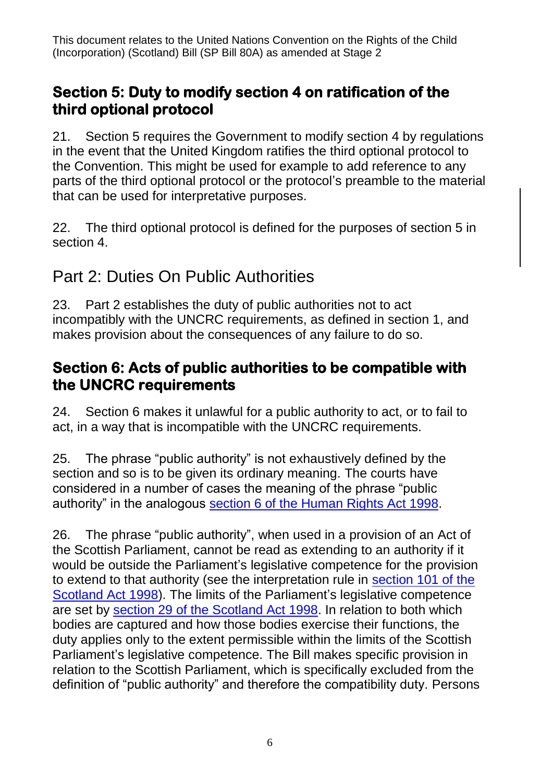### **Section 5: Duty to modify section 4 on ratification of the third optional protocol**

21. Section 5 requires the Government to modify section 4 by regulations in the event that the United Kingdom ratifies the third optional protocol to the Convention. This might be used for example to add reference to any parts of the third optional protocol or the protocol's preamble to the material that can be used for interpretative purposes.

22. The third optional protocol is defined for the purposes of section 5 in section 4.

## Part 2: Duties On Public Authorities

23. Part 2 establishes the duty of public authorities not to act incompatibly with the UNCRC requirements, as defined in section 1, and makes provision about the consequences of any failure to do so.

### **Section 6: Acts of public authorities to be compatible with the UNCRC requirements**

24. Section 6 makes it unlawful for a public authority to act, or to fail to act, in a way that is incompatible with the UNCRC requirements.

<span id="page-5-0"></span>25. The phrase "public authority" is not exhaustively defined by the section and so is to be given its ordinary meaning. The courts have considered in a number of cases the meaning of the phrase "public authority" in the analogous [section 6 of the Human Rights Act 1998.](https://www.legislation.gov.uk/ukpga/1998/42/section/6)

26. The phrase "public authority", when used in a provision of an Act of the Scottish Parliament, cannot be read as extending to an authority if it would be outside the Parliament's legislative competence for the provision to extend to that authority (see the interpretation rule in [section 101 of the](https://www.legislation.gov.uk/ukpga/1998/46/section/101)  [Scotland Act 1998\)](https://www.legislation.gov.uk/ukpga/1998/46/section/101). The limits of the Parliament's legislative competence are set by [section 29 of the Scotland Act 1998.](https://www.legislation.gov.uk/ukpga/1998/46/section/29) In relation to both which bodies are captured and how those bodies exercise their functions, the duty applies only to the extent permissible within the limits of the Scottish Parliament's legislative competence. The Bill makes specific provision in relation to the Scottish Parliament, which is specifically excluded from the definition of "public authority" and therefore the compatibility duty. Persons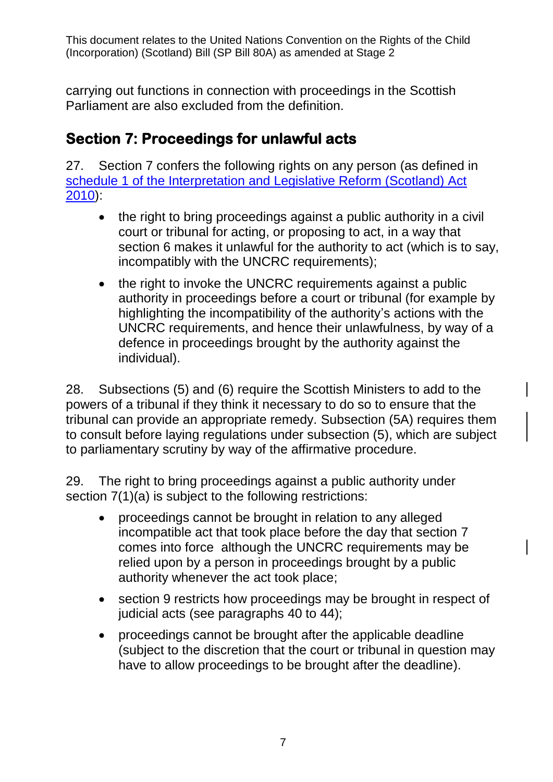carrying out functions in connection with proceedings in the Scottish Parliament are also excluded from the definition.

### **Section 7: Proceedings for unlawful acts**

27. Section 7 confers the following rights on any person (as defined in [schedule 1 of the Interpretation and Legislative Reform \(Scotland\) Act](https://www.legislation.gov.uk/asp/2010/10/schedule/1)  [2010\)](https://www.legislation.gov.uk/asp/2010/10/schedule/1):

- the right to bring proceedings against a public authority in a civil court or tribunal for acting, or proposing to act, in a way that section 6 makes it unlawful for the authority to act (which is to say, incompatibly with the UNCRC requirements):
- the right to invoke the UNCRC requirements against a public authority in proceedings before a court or tribunal (for example by highlighting the incompatibility of the authority's actions with the UNCRC requirements, and hence their unlawfulness, by way of a defence in proceedings brought by the authority against the individual).

28. Subsections (5) and (6) require the Scottish Ministers to add to the powers of a tribunal if they think it necessary to do so to ensure that the tribunal can provide an appropriate remedy. Subsection (5A) requires them to consult before laying regulations under subsection (5), which are subject to parliamentary scrutiny by way of the affirmative procedure.

29. The right to bring proceedings against a public authority under section  $7(1)(a)$  is subject to the following restrictions:

- proceedings cannot be brought in relation to any alleged incompatible act that took place before the day that section 7 comes into force although the UNCRC requirements may be relied upon by a person in proceedings brought by a public authority whenever the act took place;
- section 9 restricts how proceedings may be brought in respect of judicial acts (see paragraphs [40](#page-8-0) to [44\)](#page-9-0);
- proceedings cannot be brought after the applicable deadline (subject to the discretion that the court or tribunal in question may have to allow proceedings to be brought after the deadline).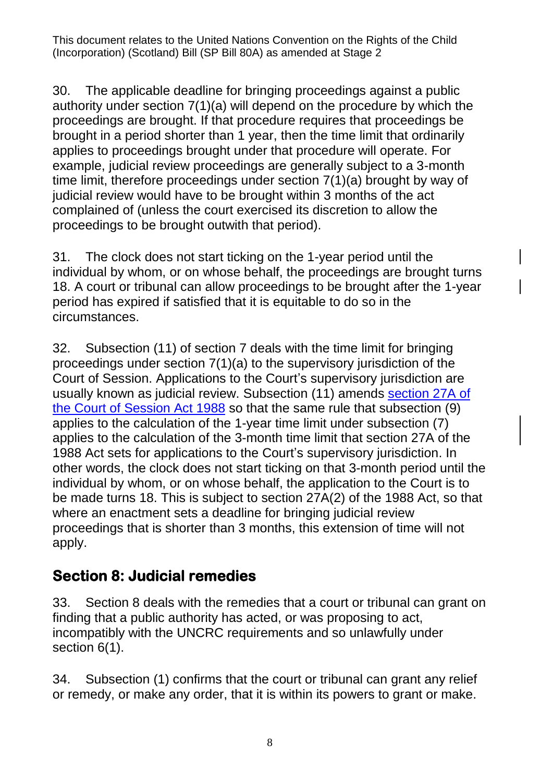30. The applicable deadline for bringing proceedings against a public authority under section 7(1)(a) will depend on the procedure by which the proceedings are brought. If that procedure requires that proceedings be brought in a period shorter than 1 year, then the time limit that ordinarily applies to proceedings brought under that procedure will operate. For example, judicial review proceedings are generally subject to a 3-month time limit, therefore proceedings under section 7(1)(a) brought by way of judicial review would have to be brought within 3 months of the act complained of (unless the court exercised its discretion to allow the proceedings to be brought outwith that period).

31. The clock does not start ticking on the 1-year period until the individual by whom, or on whose behalf, the proceedings are brought turns 18. A court or tribunal can allow proceedings to be brought after the 1-year period has expired if satisfied that it is equitable to do so in the circumstances.

32. Subsection (11) of section 7 deals with the time limit for bringing proceedings under section 7(1)(a) to the supervisory jurisdiction of the Court of Session. Applications to the Court's supervisory jurisdiction are usually known as judicial review. Subsection (11) amends section 27A of [the Court of Session Act 1988](https://www.legislation.gov.uk/ukpga/1988/36/section/27A) so that the same rule that subsection (9) applies to the calculation of the 1-year time limit under subsection (7) applies to the calculation of the 3-month time limit that section 27A of the 1988 Act sets for applications to the Court's supervisory jurisdiction. In other words, the clock does not start ticking on that 3-month period until the individual by whom, or on whose behalf, the application to the Court is to be made turns 18. This is subject to section 27A(2) of the 1988 Act, so that where an enactment sets a deadline for bringing judicial review proceedings that is shorter than 3 months, this extension of time will not apply.

### **Section 8: Judicial remedies**

33. Section 8 deals with the remedies that a court or tribunal can grant on finding that a public authority has acted, or was proposing to act, incompatibly with the UNCRC requirements and so unlawfully under section 6(1).

34. Subsection (1) confirms that the court or tribunal can grant any relief or remedy, or make any order, that it is within its powers to grant or make.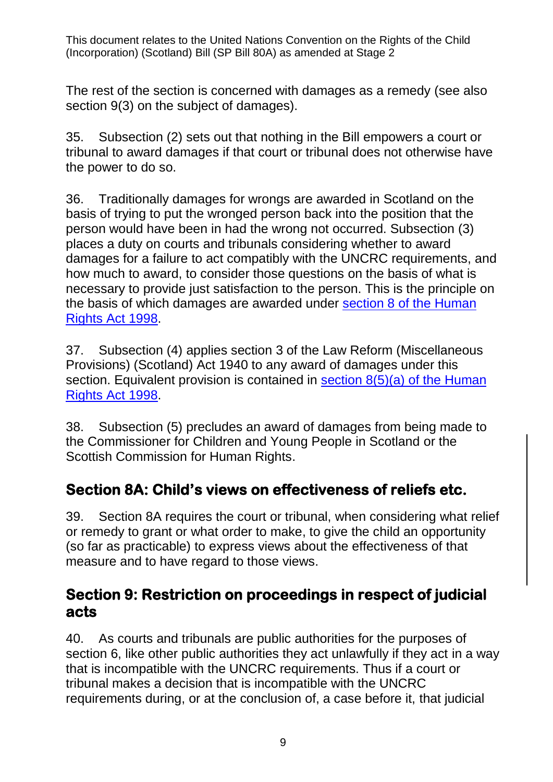The rest of the section is concerned with damages as a remedy (see also section 9(3) on the subject of damages).

35. Subsection (2) sets out that nothing in the Bill empowers a court or tribunal to award damages if that court or tribunal does not otherwise have the power to do so.

36. Traditionally damages for wrongs are awarded in Scotland on the basis of trying to put the wronged person back into the position that the person would have been in had the wrong not occurred. Subsection (3) places a duty on courts and tribunals considering whether to award damages for a failure to act compatibly with the UNCRC requirements, and how much to award, to consider those questions on the basis of what is necessary to provide just satisfaction to the person. This is the principle on the basis of which damages are awarded under [section 8 of the Human](https://www.legislation.gov.uk/ukpga/1998/42/section/8)  [Rights Act 1998.](https://www.legislation.gov.uk/ukpga/1998/42/section/8)

37. Subsection (4) applies section 3 of the Law Reform (Miscellaneous Provisions) (Scotland) Act 1940 to any award of damages under this section. Equivalent provision is contained in section 8(5)(a) of the Human [Rights Act 1998.](https://www.legislation.gov.uk/ukpga/1998/42/section/8)

38. Subsection (5) precludes an award of damages from being made to the Commissioner for Children and Young People in Scotland or the Scottish Commission for Human Rights.

### **Section 8A: Child's views on effectiveness of reliefs etc.**

39. Section 8A requires the court or tribunal, when considering what relief or remedy to grant or what order to make, to give the child an opportunity (so far as practicable) to express views about the effectiveness of that measure and to have regard to those views.

#### **Section 9: Restriction on proceedings in respect of judicial acts**

<span id="page-8-0"></span>40. As courts and tribunals are public authorities for the purposes of section 6, like other public authorities they act unlawfully if they act in a way that is incompatible with the UNCRC requirements. Thus if a court or tribunal makes a decision that is incompatible with the UNCRC requirements during, or at the conclusion of, a case before it, that judicial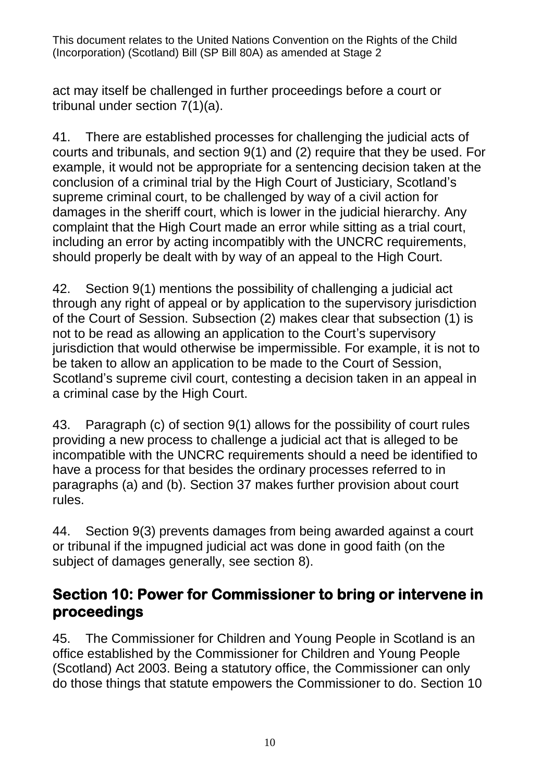act may itself be challenged in further proceedings before a court or tribunal under section 7(1)(a).

41. There are established processes for challenging the judicial acts of courts and tribunals, and section 9(1) and (2) require that they be used. For example, it would not be appropriate for a sentencing decision taken at the conclusion of a criminal trial by the High Court of Justiciary, Scotland's supreme criminal court, to be challenged by way of a civil action for damages in the sheriff court, which is lower in the judicial hierarchy. Any complaint that the High Court made an error while sitting as a trial court, including an error by acting incompatibly with the UNCRC requirements, should properly be dealt with by way of an appeal to the High Court.

42. Section 9(1) mentions the possibility of challenging a judicial act through any right of appeal or by application to the supervisory jurisdiction of the Court of Session. Subsection (2) makes clear that subsection (1) is not to be read as allowing an application to the Court's supervisory jurisdiction that would otherwise be impermissible. For example, it is not to be taken to allow an application to be made to the Court of Session, Scotland's supreme civil court, contesting a decision taken in an appeal in a criminal case by the High Court.

43. Paragraph (c) of section 9(1) allows for the possibility of court rules providing a new process to challenge a judicial act that is alleged to be incompatible with the UNCRC requirements should a need be identified to have a process for that besides the ordinary processes referred to in paragraphs (a) and (b). Section 37 makes further provision about court rules.

<span id="page-9-0"></span>44. Section 9(3) prevents damages from being awarded against a court or tribunal if the impugned judicial act was done in good faith (on the subject of damages generally, see section 8).

#### **Section 10: Power for Commissioner to bring or intervene in proceedings**

45. The Commissioner for Children and Young People in Scotland is an office established by the Commissioner for Children and Young People (Scotland) Act 2003. Being a statutory office, the Commissioner can only do those things that statute empowers the Commissioner to do. Section 10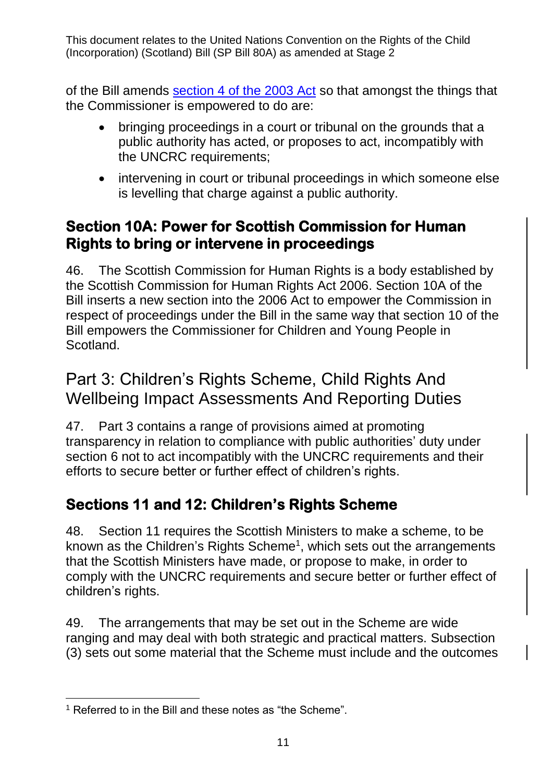of the Bill amends [section 4 of the 2003 Act](https://www.legislation.gov.uk/asp/2003/17/section/4) so that amongst the things that the Commissioner is empowered to do are:

- bringing proceedings in a court or tribunal on the grounds that a public authority has acted, or proposes to act, incompatibly with the UNCRC requirements;
- intervening in court or tribunal proceedings in which someone else is levelling that charge against a public authority.

### **Section 10A: Power for Scottish Commission for Human Rights to bring or intervene in proceedings**

46. The Scottish Commission for Human Rights is a body established by the Scottish Commission for Human Rights Act 2006. Section 10A of the Bill inserts a new section into the 2006 Act to empower the Commission in respect of proceedings under the Bill in the same way that section 10 of the Bill empowers the Commissioner for Children and Young People in Scotland.

## Part 3: Children's Rights Scheme, Child Rights And Wellbeing Impact Assessments And Reporting Duties

47. Part 3 contains a range of provisions aimed at promoting transparency in relation to compliance with public authorities' duty under section 6 not to act incompatibly with the UNCRC requirements and their efforts to secure better or further effect of children's rights.

### **Sections 11 and 12: Children's Rights Scheme**

48. Section 11 requires the Scottish Ministers to make a scheme, to be known as the Children's Rights Scheme<sup>1</sup>, which sets out the arrangements that the Scottish Ministers have made, or propose to make, in order to comply with the UNCRC requirements and secure better or further effect of children's rights.

49. The arrangements that may be set out in the Scheme are wide ranging and may deal with both strategic and practical matters. Subsection (3) sets out some material that the Scheme must include and the outcomes

 $\overline{a}$ <sup>1</sup> Referred to in the Bill and these notes as "the Scheme".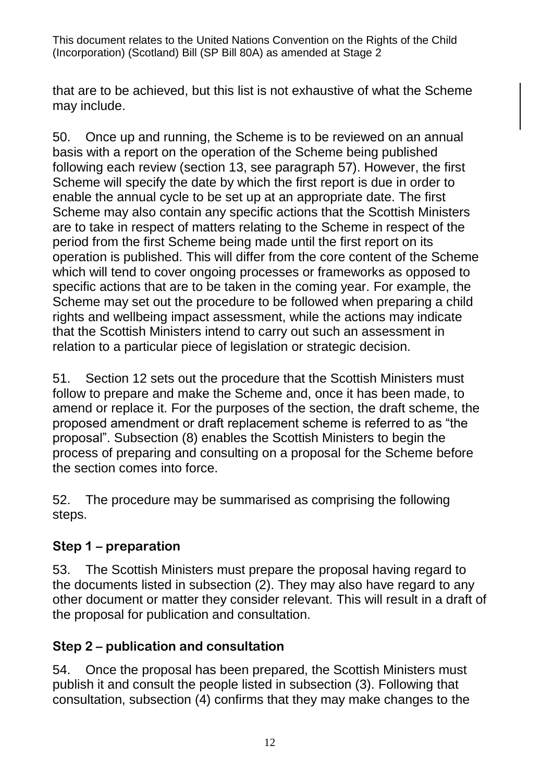that are to be achieved, but this list is not exhaustive of what the Scheme may include.

50. Once up and running, the Scheme is to be reviewed on an annual basis with a report on the operation of the Scheme being published following each review (section 13, see paragraph [57\)](#page-12-0). However, the first Scheme will specify the date by which the first report is due in order to enable the annual cycle to be set up at an appropriate date. The first Scheme may also contain any specific actions that the Scottish Ministers are to take in respect of matters relating to the Scheme in respect of the period from the first Scheme being made until the first report on its operation is published. This will differ from the core content of the Scheme which will tend to cover ongoing processes or frameworks as opposed to specific actions that are to be taken in the coming year. For example, the Scheme may set out the procedure to be followed when preparing a child rights and wellbeing impact assessment, while the actions may indicate that the Scottish Ministers intend to carry out such an assessment in relation to a particular piece of legislation or strategic decision.

51. Section 12 sets out the procedure that the Scottish Ministers must follow to prepare and make the Scheme and, once it has been made, to amend or replace it. For the purposes of the section, the draft scheme, the proposed amendment or draft replacement scheme is referred to as "the proposal". Subsection (8) enables the Scottish Ministers to begin the process of preparing and consulting on a proposal for the Scheme before the section comes into force.

52. The procedure may be summarised as comprising the following steps.

#### **Step 1 – preparation**

53. The Scottish Ministers must prepare the proposal having regard to the documents listed in subsection (2). They may also have regard to any other document or matter they consider relevant. This will result in a draft of the proposal for publication and consultation.

#### **Step 2 – publication and consultation**

54. Once the proposal has been prepared, the Scottish Ministers must publish it and consult the people listed in subsection (3). Following that consultation, subsection (4) confirms that they may make changes to the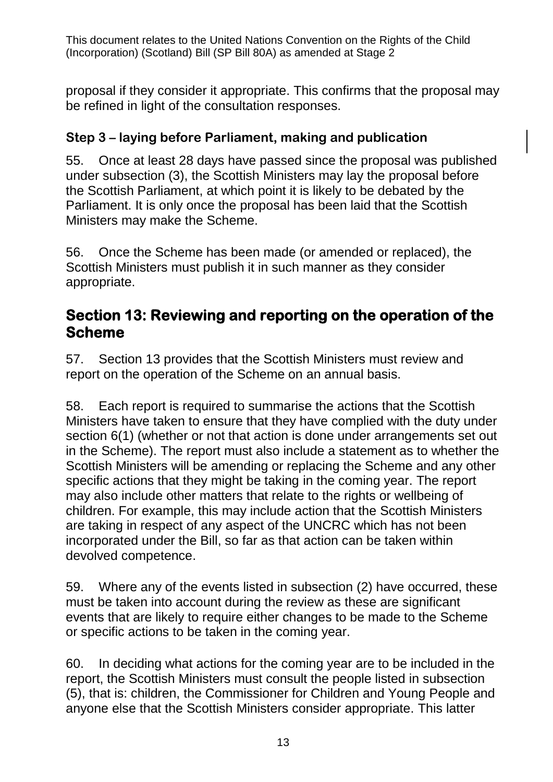proposal if they consider it appropriate. This confirms that the proposal may be refined in light of the consultation responses.

#### **Step 3 – laying before Parliament, making and publication**

55. Once at least 28 days have passed since the proposal was published under subsection (3), the Scottish Ministers may lay the proposal before the Scottish Parliament, at which point it is likely to be debated by the Parliament. It is only once the proposal has been laid that the Scottish Ministers may make the Scheme.

56. Once the Scheme has been made (or amended or replaced), the Scottish Ministers must publish it in such manner as they consider appropriate.

#### **Section 13: Reviewing and reporting on the operation of the Scheme**

<span id="page-12-0"></span>57. Section 13 provides that the Scottish Ministers must review and report on the operation of the Scheme on an annual basis.

58. Each report is required to summarise the actions that the Scottish Ministers have taken to ensure that they have complied with the duty under section 6(1) (whether or not that action is done under arrangements set out in the Scheme). The report must also include a statement as to whether the Scottish Ministers will be amending or replacing the Scheme and any other specific actions that they might be taking in the coming year. The report may also include other matters that relate to the rights or wellbeing of children. For example, this may include action that the Scottish Ministers are taking in respect of any aspect of the UNCRC which has not been incorporated under the Bill, so far as that action can be taken within devolved competence.

59. Where any of the events listed in subsection (2) have occurred, these must be taken into account during the review as these are significant events that are likely to require either changes to be made to the Scheme or specific actions to be taken in the coming year.

60. In deciding what actions for the coming year are to be included in the report, the Scottish Ministers must consult the people listed in subsection (5), that is: children, the Commissioner for Children and Young People and anyone else that the Scottish Ministers consider appropriate. This latter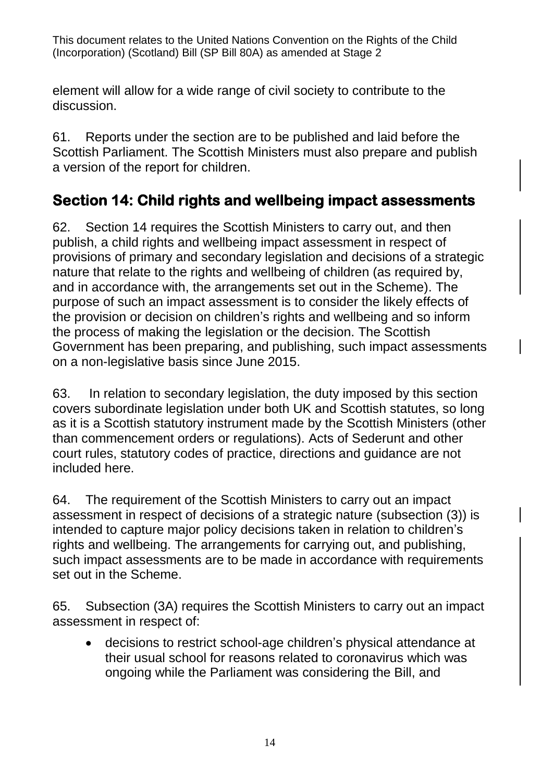element will allow for a wide range of civil society to contribute to the discussion.

61. Reports under the section are to be published and laid before the Scottish Parliament. The Scottish Ministers must also prepare and publish a version of the report for children.

### **Section 14: Child rights and wellbeing impact assessments**

62. Section 14 requires the Scottish Ministers to carry out, and then publish, a child rights and wellbeing impact assessment in respect of provisions of primary and secondary legislation and decisions of a strategic nature that relate to the rights and wellbeing of children (as required by, and in accordance with, the arrangements set out in the Scheme). The purpose of such an impact assessment is to consider the likely effects of the provision or decision on children's rights and wellbeing and so inform the process of making the legislation or the decision. The Scottish Government has been preparing, and publishing, such impact assessments on a non-legislative basis since June 2015.

63. In relation to secondary legislation, the duty imposed by this section covers subordinate legislation under both UK and Scottish statutes, so long as it is a Scottish statutory instrument made by the Scottish Ministers (other than commencement orders or regulations). Acts of Sederunt and other court rules, statutory codes of practice, directions and guidance are not included here.

64. The requirement of the Scottish Ministers to carry out an impact assessment in respect of decisions of a strategic nature (subsection (3)) is intended to capture major policy decisions taken in relation to children's rights and wellbeing. The arrangements for carrying out, and publishing, such impact assessments are to be made in accordance with requirements set out in the Scheme.

65. Subsection (3A) requires the Scottish Ministers to carry out an impact assessment in respect of:

• decisions to restrict school-age children's physical attendance at their usual school for reasons related to coronavirus which was ongoing while the Parliament was considering the Bill, and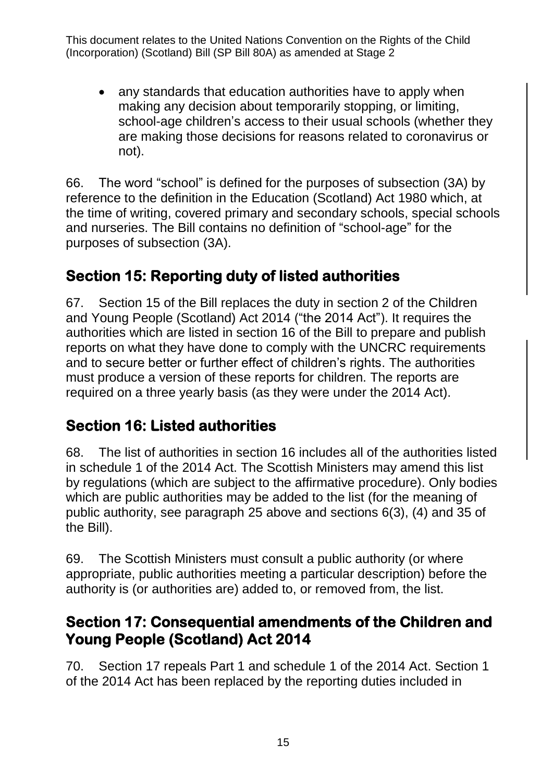• any standards that education authorities have to apply when making any decision about temporarily stopping, or limiting, school-age children's access to their usual schools (whether they are making those decisions for reasons related to coronavirus or not).

66. The word "school" is defined for the purposes of subsection (3A) by reference to the definition in the Education (Scotland) Act 1980 which, at the time of writing, covered primary and secondary schools, special schools and nurseries. The Bill contains no definition of "school-age" for the purposes of subsection (3A).

### **Section 15: Reporting duty of listed authorities**

67. Section 15 of the Bill replaces the duty in section 2 of the Children and Young People (Scotland) Act 2014 ("the 2014 Act"). It requires the authorities which are listed in section 16 of the Bill to prepare and publish reports on what they have done to comply with the UNCRC requirements and to secure better or further effect of children's rights. The authorities must produce a version of these reports for children. The reports are required on a three yearly basis (as they were under the 2014 Act).

### **Section 16: Listed authorities**

68. The list of authorities in section 16 includes all of the authorities listed in schedule 1 of the 2014 Act. The Scottish Ministers may amend this list by regulations (which are subject to the affirmative procedure). Only bodies which are public authorities may be added to the list (for the meaning of public authority, see paragraph [25](#page-5-0) above and sections 6(3), (4) and 35 of the Bill).

69. The Scottish Ministers must consult a public authority (or where appropriate, public authorities meeting a particular description) before the authority is (or authorities are) added to, or removed from, the list.

### **Section 17: Consequential amendments of the Children and Young People (Scotland) Act 2014**

70. Section 17 repeals Part 1 and schedule 1 of the 2014 Act. Section 1 of the 2014 Act has been replaced by the reporting duties included in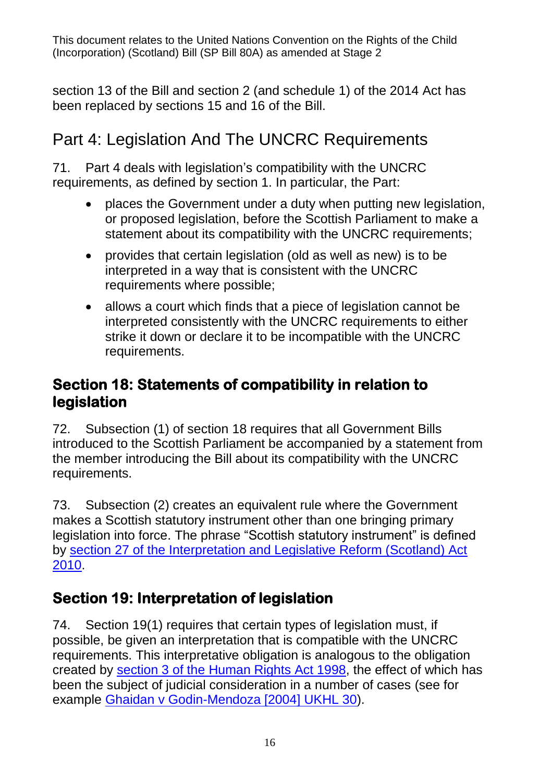section 13 of the Bill and section 2 (and schedule 1) of the 2014 Act has been replaced by sections 15 and 16 of the Bill.

## Part 4: Legislation And The UNCRC Requirements

71. Part 4 deals with legislation's compatibility with the UNCRC requirements, as defined by section 1. In particular, the Part:

- places the Government under a duty when putting new legislation, or proposed legislation, before the Scottish Parliament to make a statement about its compatibility with the UNCRC requirements;
- provides that certain legislation (old as well as new) is to be interpreted in a way that is consistent with the UNCRC requirements where possible;
- allows a court which finds that a piece of legislation cannot be interpreted consistently with the UNCRC requirements to either strike it down or declare it to be incompatible with the UNCRC requirements.

### **Section 18: Statements of compatibility in relation to legislation**

72. Subsection (1) of section 18 requires that all Government Bills introduced to the Scottish Parliament be accompanied by a statement from the member introducing the Bill about its compatibility with the UNCRC requirements.

73. Subsection (2) creates an equivalent rule where the Government makes a Scottish statutory instrument other than one bringing primary legislation into force. The phrase "Scottish statutory instrument" is defined by [section 27 of the Interpretation and Legislative Reform \(Scotland\) Act](https://www.legislation.gov.uk/asp/2010/10/section/27)  [2010.](https://www.legislation.gov.uk/asp/2010/10/section/27)

### **Section 19: Interpretation of legislation**

74. Section 19(1) requires that certain types of legislation must, if possible, be given an interpretation that is compatible with the UNCRC requirements. This interpretative obligation is analogous to the obligation created by [section 3 of the Human Rights Act 1998,](https://www.legislation.gov.uk/ukpga/1998/42/section/3) the effect of which has been the subject of judicial consideration in a number of cases (see for example [Ghaidan v Godin-Mendoza \[2004\] UKHL 30\)](https://www.bailii.org/uk/cases/UKHL/2004/30.html).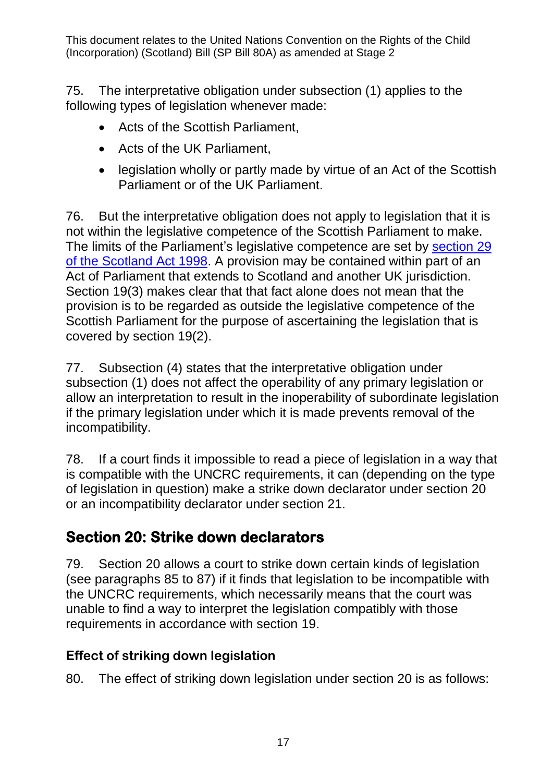75. The interpretative obligation under subsection (1) applies to the following types of legislation whenever made:

- Acts of the Scottish Parliament,
- Acts of the UK Parliament,
- legislation wholly or partly made by virtue of an Act of the Scottish Parliament or of the UK Parliament.

76. But the interpretative obligation does not apply to legislation that it is not within the legislative competence of the Scottish Parliament to make. The limits of the Parliament's legislative competence are set by section 29 [of the Scotland Act 1998.](https://www.legislation.gov.uk/ukpga/1998/46/section/29) A provision may be contained within part of an Act of Parliament that extends to Scotland and another UK jurisdiction. Section 19(3) makes clear that that fact alone does not mean that the provision is to be regarded as outside the legislative competence of the Scottish Parliament for the purpose of ascertaining the legislation that is covered by section 19(2).

77. Subsection (4) states that the interpretative obligation under subsection (1) does not affect the operability of any primary legislation or allow an interpretation to result in the inoperability of subordinate legislation if the primary legislation under which it is made prevents removal of the incompatibility.

78. If a court finds it impossible to read a piece of legislation in a way that is compatible with the UNCRC requirements, it can (depending on the type of legislation in question) make a strike down declarator under section 20 or an incompatibility declarator under section 21.

### **Section 20: Strike down declarators**

79. Section 20 allows a court to strike down certain kinds of legislation (see paragraphs [85](#page-18-0) to [87\)](#page-18-1) if it finds that legislation to be incompatible with the UNCRC requirements, which necessarily means that the court was unable to find a way to interpret the legislation compatibly with those requirements in accordance with section 19.

#### **Effect of striking down legislation**

80. The effect of striking down legislation under section 20 is as follows: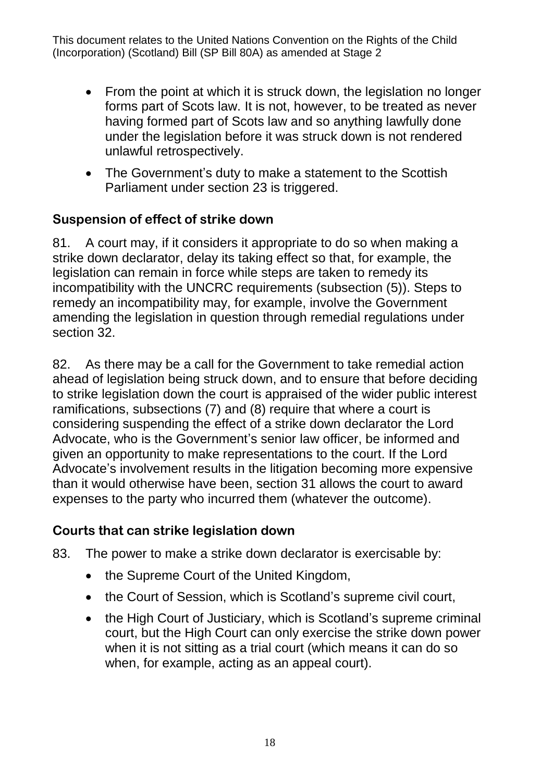- From the point at which it is struck down, the legislation no longer forms part of Scots law. It is not, however, to be treated as never having formed part of Scots law and so anything lawfully done under the legislation before it was struck down is not rendered unlawful retrospectively.
- The Government's duty to make a statement to the Scottish Parliament under section 23 is triggered.

#### **Suspension of effect of strike down**

81. A court may, if it considers it appropriate to do so when making a strike down declarator, delay its taking effect so that, for example, the legislation can remain in force while steps are taken to remedy its incompatibility with the UNCRC requirements (subsection (5)). Steps to remedy an incompatibility may, for example, involve the Government amending the legislation in question through remedial regulations under section 32.

82. As there may be a call for the Government to take remedial action ahead of legislation being struck down, and to ensure that before deciding to strike legislation down the court is appraised of the wider public interest ramifications, subsections (7) and (8) require that where a court is considering suspending the effect of a strike down declarator the Lord Advocate, who is the Government's senior law officer, be informed and given an opportunity to make representations to the court. If the Lord Advocate's involvement results in the litigation becoming more expensive than it would otherwise have been, section 31 allows the court to award expenses to the party who incurred them (whatever the outcome).

#### **Courts that can strike legislation down**

- <span id="page-17-0"></span>83. The power to make a strike down declarator is exercisable by:
	- the Supreme Court of the United Kingdom,
	- the Court of Session, which is Scotland's supreme civil court,
	- the High Court of Justiciary, which is Scotland's supreme criminal court, but the High Court can only exercise the strike down power when it is not sitting as a trial court (which means it can do so when, for example, acting as an appeal court).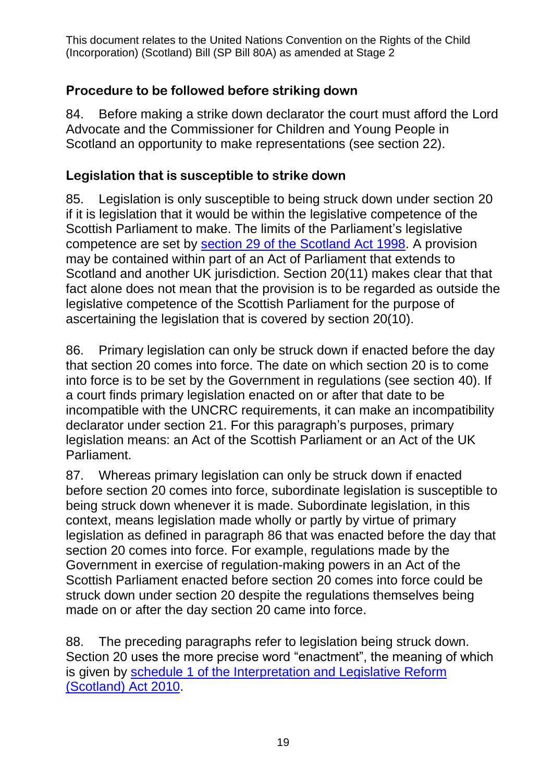#### **Procedure to be followed before striking down**

84. Before making a strike down declarator the court must afford the Lord Advocate and the Commissioner for Children and Young People in Scotland an opportunity to make representations (see section 22).

#### **Legislation that is susceptible to strike down**

<span id="page-18-0"></span>85. Legislation is only susceptible to being struck down under section 20 if it is legislation that it would be within the legislative competence of the Scottish Parliament to make. The limits of the Parliament's legislative competence are set by [section 29 of the Scotland Act 1998.](https://www.legislation.gov.uk/ukpga/1998/46/section/29) A provision may be contained within part of an Act of Parliament that extends to Scotland and another UK jurisdiction. Section 20(11) makes clear that that fact alone does not mean that the provision is to be regarded as outside the legislative competence of the Scottish Parliament for the purpose of ascertaining the legislation that is covered by section 20(10).

<span id="page-18-2"></span>86. Primary legislation can only be struck down if enacted before the day that section 20 comes into force. The date on which section 20 is to come into force is to be set by the Government in regulations (see section 40). If a court finds primary legislation enacted on or after that date to be incompatible with the UNCRC requirements, it can make an incompatibility declarator under section 21. For this paragraph's purposes, primary legislation means: an Act of the Scottish Parliament or an Act of the UK Parliament.

<span id="page-18-1"></span>87. Whereas primary legislation can only be struck down if enacted before section 20 comes into force, subordinate legislation is susceptible to being struck down whenever it is made. Subordinate legislation, in this context, means legislation made wholly or partly by virtue of primary legislation as defined in paragraph [86](#page-18-2) that was enacted before the day that section 20 comes into force. For example, regulations made by the Government in exercise of regulation-making powers in an Act of the Scottish Parliament enacted before section 20 comes into force could be struck down under section 20 despite the regulations themselves being made on or after the day section 20 came into force.

88. The preceding paragraphs refer to legislation being struck down. Section 20 uses the more precise word "enactment", the meaning of which is given by schedule 1 [of the Interpretation and Legislative Reform](https://www.legislation.gov.uk/asp/2010/10/schedule/1)  [\(Scotland\) Act 2010.](https://www.legislation.gov.uk/asp/2010/10/schedule/1)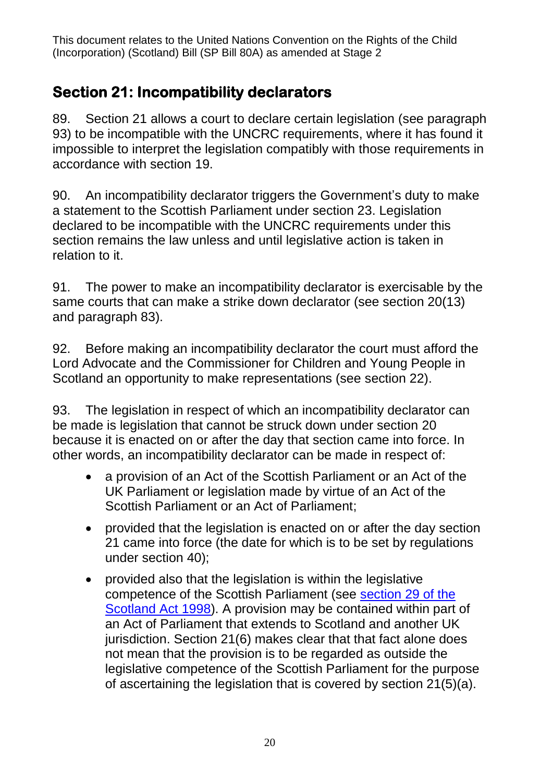### **Section 21: Incompatibility declarators**

89. Section 21 allows a court to declare certain legislation (see paragraph [93\)](#page-19-0) to be incompatible with the UNCRC requirements, where it has found it impossible to interpret the legislation compatibly with those requirements in accordance with section 19.

90. An incompatibility declarator triggers the Government's duty to make a statement to the Scottish Parliament under section 23. Legislation declared to be incompatible with the UNCRC requirements under this section remains the law unless and until legislative action is taken in relation to it.

91. The power to make an incompatibility declarator is exercisable by the same courts that can make a strike down declarator (see section 20(13) and paragraph [83\)](#page-17-0).

92. Before making an incompatibility declarator the court must afford the Lord Advocate and the Commissioner for Children and Young People in Scotland an opportunity to make representations (see section 22).

<span id="page-19-0"></span>93. The legislation in respect of which an incompatibility declarator can be made is legislation that cannot be struck down under section 20 because it is enacted on or after the day that section came into force. In other words, an incompatibility declarator can be made in respect of:

- a provision of an Act of the Scottish Parliament or an Act of the UK Parliament or legislation made by virtue of an Act of the Scottish Parliament or an Act of Parliament;
- provided that the legislation is enacted on or after the day section 21 came into force (the date for which is to be set by regulations under section 40);
- provided also that the legislation is within the legislative competence of the Scottish Parliament (see [section 29 of the](https://www.legislation.gov.uk/ukpga/1998/46/section/29)  [Scotland Act 1998\)](https://www.legislation.gov.uk/ukpga/1998/46/section/29). A provision may be contained within part of an Act of Parliament that extends to Scotland and another UK jurisdiction. Section 21(6) makes clear that that fact alone does not mean that the provision is to be regarded as outside the legislative competence of the Scottish Parliament for the purpose of ascertaining the legislation that is covered by section 21(5)(a).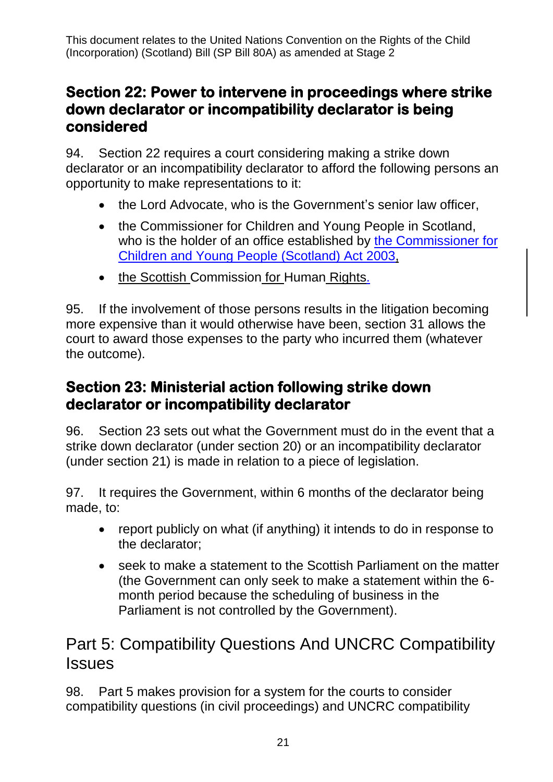### **Section 22: Power to intervene in proceedings where strike down declarator or incompatibility declarator is being considered**

94. Section 22 requires a court considering making a strike down declarator or an incompatibility declarator to afford the following persons an opportunity to make representations to it:

- the Lord Advocate, who is the Government's senior law officer,
- the Commissioner for Children and Young People in Scotland, who is the holder of an office established by [the Commissioner for](https://www.legislation.gov.uk/asp/2003/17/section/1)  [Children and Young People \(Scotland\) Act 2003,](https://www.legislation.gov.uk/asp/2003/17/section/1)
- the Scottish Commission for Human Rights.

95. If the involvement of those persons results in the litigation becoming more expensive than it would otherwise have been, section 31 allows the court to award those expenses to the party who incurred them (whatever the outcome).

### **Section 23: Ministerial action following strike down declarator or incompatibility declarator**

96. Section 23 sets out what the Government must do in the event that a strike down declarator (under section 20) or an incompatibility declarator (under section 21) is made in relation to a piece of legislation.

97. It requires the Government, within 6 months of the declarator being made, to:

- report publicly on what (if anything) it intends to do in response to the declarator;
- seek to make a statement to the Scottish Parliament on the matter (the Government can only seek to make a statement within the 6 month period because the scheduling of business in the Parliament is not controlled by the Government).

## Part 5: Compatibility Questions And UNCRC Compatibility **Issues**

98. Part 5 makes provision for a system for the courts to consider compatibility questions (in civil proceedings) and UNCRC compatibility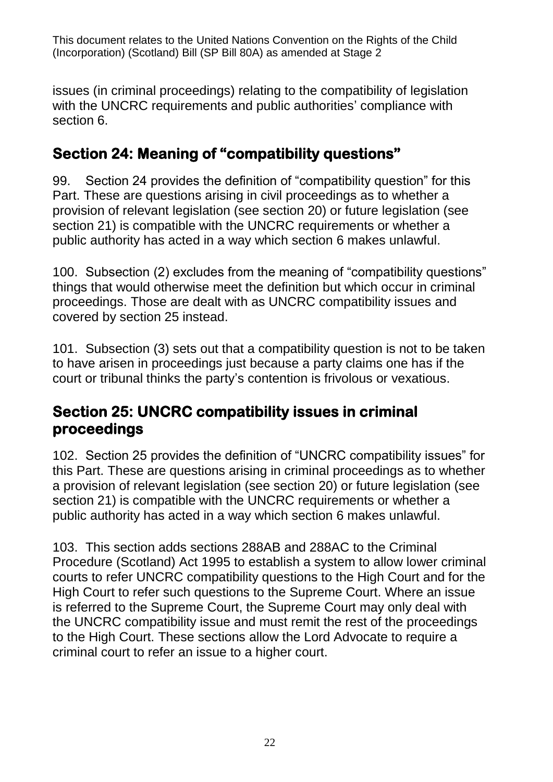issues (in criminal proceedings) relating to the compatibility of legislation with the UNCRC requirements and public authorities' compliance with section 6.

### **Section 24: Meaning of "compatibility questions"**

99. Section 24 provides the definition of "compatibility question" for this Part. These are questions arising in civil proceedings as to whether a provision of relevant legislation (see section 20) or future legislation (see section 21) is compatible with the UNCRC requirements or whether a public authority has acted in a way which section 6 makes unlawful.

100. Subsection (2) excludes from the meaning of "compatibility questions" things that would otherwise meet the definition but which occur in criminal proceedings. Those are dealt with as UNCRC compatibility issues and covered by section 25 instead.

101. Subsection (3) sets out that a compatibility question is not to be taken to have arisen in proceedings just because a party claims one has if the court or tribunal thinks the party's contention is frivolous or vexatious.

### **Section 25: UNCRC compatibility issues in criminal proceedings**

102. Section 25 provides the definition of "UNCRC compatibility issues" for this Part. These are questions arising in criminal proceedings as to whether a provision of relevant legislation (see section 20) or future legislation (see section 21) is compatible with the UNCRC requirements or whether a public authority has acted in a way which section 6 makes unlawful.

103. This section adds sections 288AB and 288AC to the Criminal Procedure (Scotland) Act 1995 to establish a system to allow lower criminal courts to refer UNCRC compatibility questions to the High Court and for the High Court to refer such questions to the Supreme Court. Where an issue is referred to the Supreme Court, the Supreme Court may only deal with the UNCRC compatibility issue and must remit the rest of the proceedings to the High Court. These sections allow the Lord Advocate to require a criminal court to refer an issue to a higher court.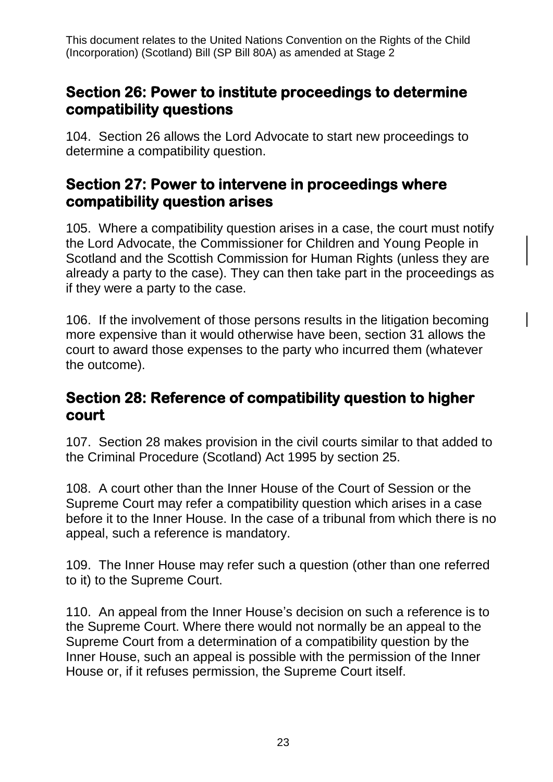### **Section 26: Power to institute proceedings to determine compatibility questions**

104. Section 26 allows the Lord Advocate to start new proceedings to determine a compatibility question.

#### **Section 27: Power to intervene in proceedings where compatibility question arises**

105. Where a compatibility question arises in a case, the court must notify the Lord Advocate, the Commissioner for Children and Young People in Scotland and the Scottish Commission for Human Rights (unless they are already a party to the case). They can then take part in the proceedings as if they were a party to the case.

106. If the involvement of those persons results in the litigation becoming more expensive than it would otherwise have been, section 31 allows the court to award those expenses to the party who incurred them (whatever the outcome).

#### **Section 28: Reference of compatibility question to higher court**

107. Section 28 makes provision in the civil courts similar to that added to the Criminal Procedure (Scotland) Act 1995 by section 25.

108. A court other than the Inner House of the Court of Session or the Supreme Court may refer a compatibility question which arises in a case before it to the Inner House. In the case of a tribunal from which there is no appeal, such a reference is mandatory.

109. The Inner House may refer such a question (other than one referred to it) to the Supreme Court.

110. An appeal from the Inner House's decision on such a reference is to the Supreme Court. Where there would not normally be an appeal to the Supreme Court from a determination of a compatibility question by the Inner House, such an appeal is possible with the permission of the Inner House or, if it refuses permission, the Supreme Court itself.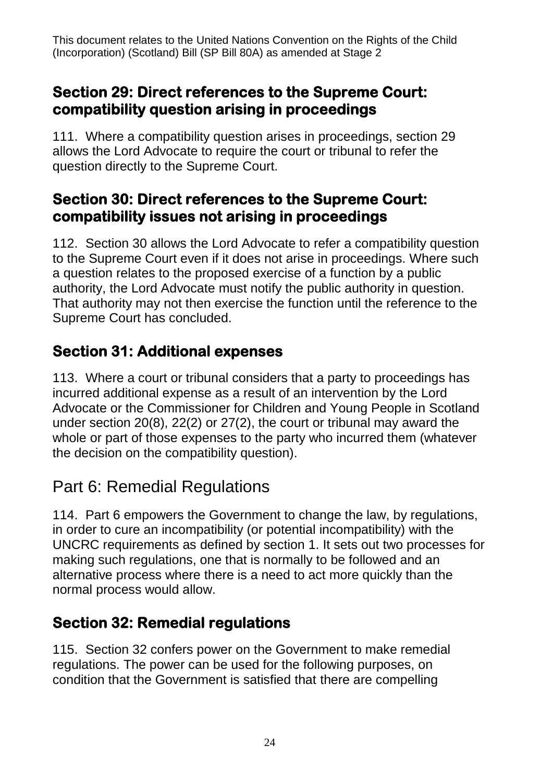### **Section 29: Direct references to the Supreme Court: compatibility question arising in proceedings**

111. Where a compatibility question arises in proceedings, section 29 allows the Lord Advocate to require the court or tribunal to refer the question directly to the Supreme Court.

### **Section 30: Direct references to the Supreme Court: compatibility issues not arising in proceedings**

112. Section 30 allows the Lord Advocate to refer a compatibility question to the Supreme Court even if it does not arise in proceedings. Where such a question relates to the proposed exercise of a function by a public authority, the Lord Advocate must notify the public authority in question. That authority may not then exercise the function until the reference to the Supreme Court has concluded.

### **Section 31: Additional expenses**

113. Where a court or tribunal considers that a party to proceedings has incurred additional expense as a result of an intervention by the Lord Advocate or the Commissioner for Children and Young People in Scotland under section 20(8), 22(2) or 27(2), the court or tribunal may award the whole or part of those expenses to the party who incurred them (whatever the decision on the compatibility question).

## Part 6: Remedial Regulations

114. Part 6 empowers the Government to change the law, by regulations, in order to cure an incompatibility (or potential incompatibility) with the UNCRC requirements as defined by section 1. It sets out two processes for making such regulations, one that is normally to be followed and an alternative process where there is a need to act more quickly than the normal process would allow.

### **Section 32: Remedial regulations**

115. Section 32 confers power on the Government to make remedial regulations. The power can be used for the following purposes, on condition that the Government is satisfied that there are compelling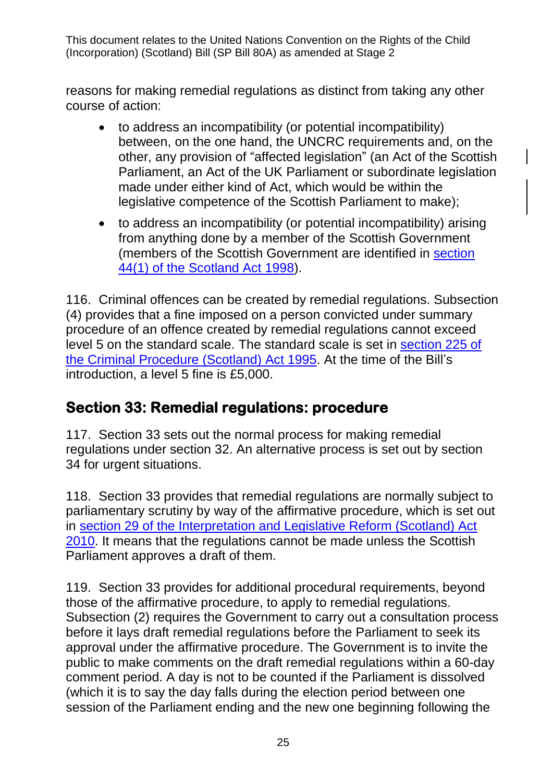reasons for making remedial regulations as distinct from taking any other course of action:

- to address an incompatibility (or potential incompatibility) between, on the one hand, the UNCRC requirements and, on the other, any provision of "affected legislation" (an Act of the Scottish Parliament, an Act of the UK Parliament or subordinate legislation made under either kind of Act, which would be within the legislative competence of the Scottish Parliament to make);
- to address an incompatibility (or potential incompatibility) arising from anything done by a member of the Scottish Government (members of the Scottish Government are identified in [section](https://www.legislation.gov.uk/ukpga/1998/46/section/44)  [44\(1\) of the Scotland Act 1998\)](https://www.legislation.gov.uk/ukpga/1998/46/section/44).

116. Criminal offences can be created by remedial regulations. Subsection (4) provides that a fine imposed on a person convicted under summary procedure of an offence created by remedial regulations cannot exceed level 5 on the standard scale. The standard scale is set in [section 225 of](https://www.legislation.gov.uk/ukpga/1995/46/section/225)  [the Criminal Procedure \(Scotland\) Act 1995.](https://www.legislation.gov.uk/ukpga/1995/46/section/225) At the time of the Bill's introduction, a level 5 fine is £5,000.

### **Section 33: Remedial regulations: procedure**

117. Section 33 sets out the normal process for making remedial regulations under section 32. An alternative process is set out by section 34 for urgent situations.

118. Section 33 provides that remedial regulations are normally subject to parliamentary scrutiny by way of the affirmative procedure, which is set out in [section 29 of the Interpretation and Legislative Reform \(Scotland\) Act](https://www.legislation.gov.uk/asp/2010/10/section/29)  [2010.](https://www.legislation.gov.uk/asp/2010/10/section/29) It means that the regulations cannot be made unless the Scottish Parliament approves a draft of them.

119. Section 33 provides for additional procedural requirements, beyond those of the affirmative procedure, to apply to remedial regulations. Subsection (2) requires the Government to carry out a consultation process before it lays draft remedial regulations before the Parliament to seek its approval under the affirmative procedure. The Government is to invite the public to make comments on the draft remedial regulations within a 60-day comment period. A day is not to be counted if the Parliament is dissolved (which it is to say the day falls during the election period between one session of the Parliament ending and the new one beginning following the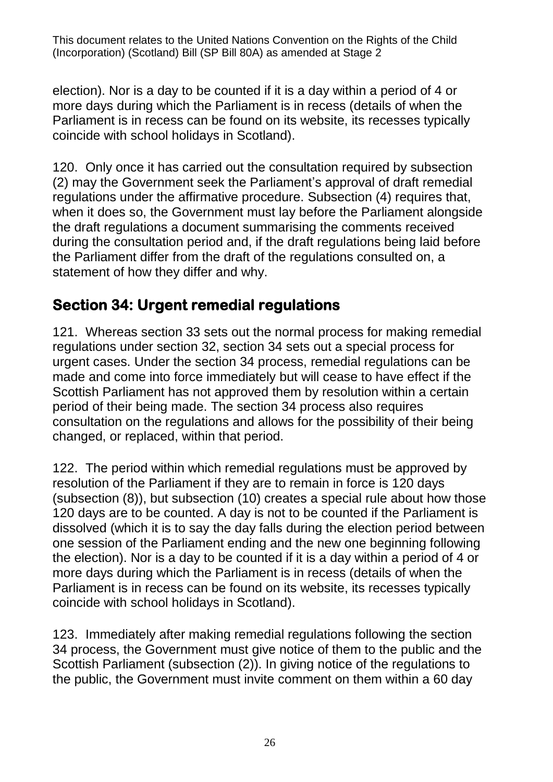election). Nor is a day to be counted if it is a day within a period of 4 or more days during which the Parliament is in recess (details of when the Parliament is in recess can be found on its website, its recesses typically coincide with school holidays in Scotland).

120. Only once it has carried out the consultation required by subsection (2) may the Government seek the Parliament's approval of draft remedial regulations under the affirmative procedure. Subsection (4) requires that, when it does so, the Government must lay before the Parliament alongside the draft regulations a document summarising the comments received during the consultation period and, if the draft regulations being laid before the Parliament differ from the draft of the regulations consulted on, a statement of how they differ and why.

### **Section 34: Urgent remedial regulations**

121. Whereas section 33 sets out the normal process for making remedial regulations under section 32, section 34 sets out a special process for urgent cases. Under the section 34 process, remedial regulations can be made and come into force immediately but will cease to have effect if the Scottish Parliament has not approved them by resolution within a certain period of their being made. The section 34 process also requires consultation on the regulations and allows for the possibility of their being changed, or replaced, within that period.

122. The period within which remedial regulations must be approved by resolution of the Parliament if they are to remain in force is 120 days (subsection (8)), but subsection (10) creates a special rule about how those 120 days are to be counted. A day is not to be counted if the Parliament is dissolved (which it is to say the day falls during the election period between one session of the Parliament ending and the new one beginning following the election). Nor is a day to be counted if it is a day within a period of 4 or more days during which the Parliament is in recess (details of when the Parliament is in recess can be found on its website, its recesses typically coincide with school holidays in Scotland).

123. Immediately after making remedial regulations following the section 34 process, the Government must give notice of them to the public and the Scottish Parliament (subsection (2)). In giving notice of the regulations to the public, the Government must invite comment on them within a 60 day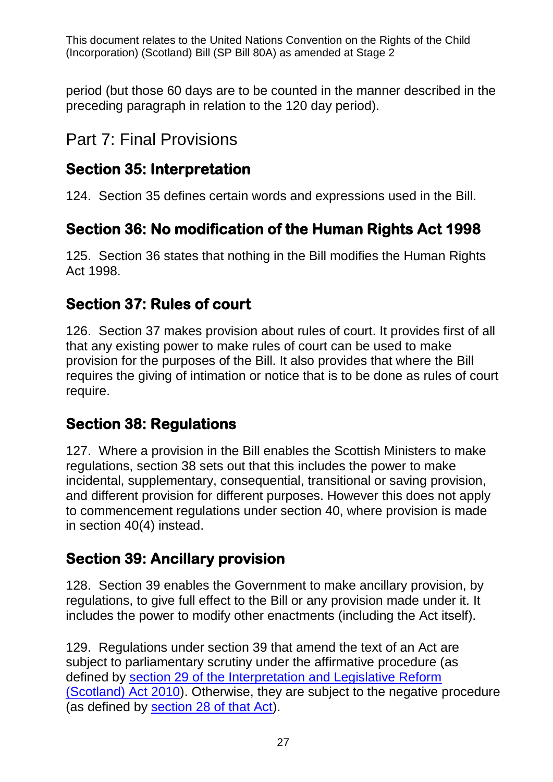period (but those 60 days are to be counted in the manner described in the preceding paragraph in relation to the 120 day period).

## Part 7: Final Provisions

### **Section 35: Interpretation**

124. Section 35 defines certain words and expressions used in the Bill.

## **Section 36: No modification of the Human Rights Act 1998**

125. Section 36 states that nothing in the Bill modifies the Human Rights Act 1998.

### **Section 37: Rules of court**

126. Section 37 makes provision about rules of court. It provides first of all that any existing power to make rules of court can be used to make provision for the purposes of the Bill. It also provides that where the Bill requires the giving of intimation or notice that is to be done as rules of court require.

### **Section 38: Regulations**

127. Where a provision in the Bill enables the Scottish Ministers to make regulations, section 38 sets out that this includes the power to make incidental, supplementary, consequential, transitional or saving provision, and different provision for different purposes. However this does not apply to commencement regulations under section 40, where provision is made in section 40(4) instead.

### **Section 39: Ancillary provision**

128. Section 39 enables the Government to make ancillary provision, by regulations, to give full effect to the Bill or any provision made under it. It includes the power to modify other enactments (including the Act itself).

129. Regulations under section 39 that amend the text of an Act are subject to parliamentary scrutiny under the affirmative procedure (as defined by [section 29 of the Interpretation and Legislative Reform](https://www.legislation.gov.uk/asp/2010/10/section/29)  [\(Scotland\) Act 2010\)](https://www.legislation.gov.uk/asp/2010/10/section/29). Otherwise, they are subject to the negative procedure (as defined by [section 28 of that Act\)](https://www.legislation.gov.uk/asp/2010/10/section/28).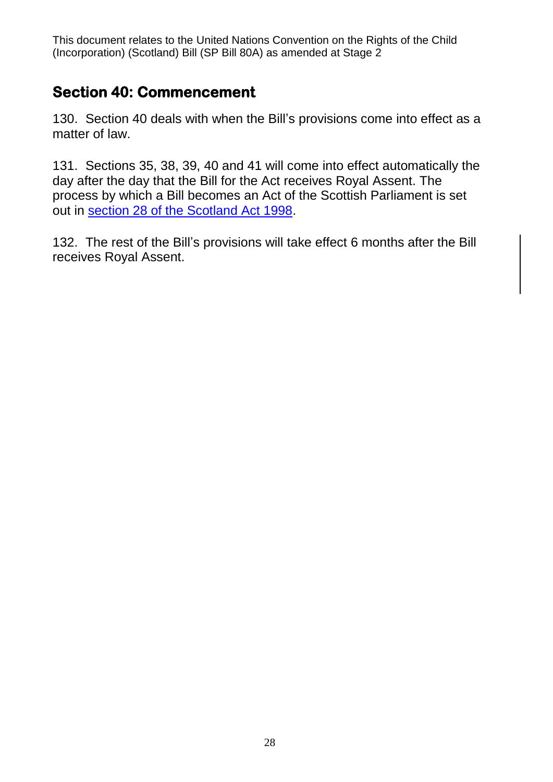### **Section 40: Commencement**

130. Section 40 deals with when the Bill's provisions come into effect as a matter of law.

131. Sections 35, 38, 39, 40 and 41 will come into effect automatically the day after the day that the Bill for the Act receives Royal Assent. The process by which a Bill becomes an Act of the Scottish Parliament is set out in [section 28 of the Scotland Act 1998.](https://www.legislation.gov.uk/ukpga/1998/46/section/28)

132. The rest of the Bill's provisions will take effect 6 months after the Bill receives Royal Assent.